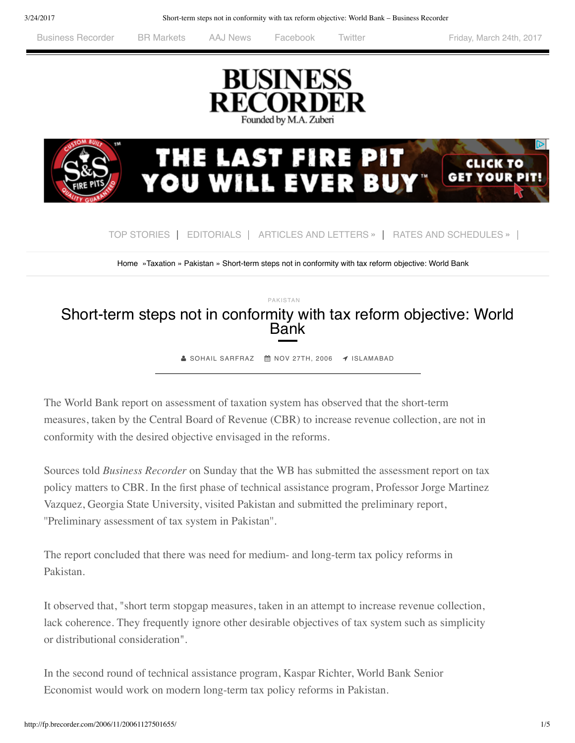[Business Recorder](http://www.brecorder.com/) [BR Markets](http://markets.brecorder.com/) [AAJ News](http://www.aaj.tv/) [Facebook](https://www.facebook.com/BusinessRecorder) [Twitter](https://twitter.com/brecorder) Friday, March 24th, 2017





[Home](http://fp.brecorder.com/) [»Taxation](http://fp.brecorder.com/taxation/) » [Pakistan](http://fp.brecorder.com/taxation/pakistan-taxation/) » Short-term steps not in conformity with tax reform objective: World Bank<br>

## [PAKISTAN](http://fp.brecorder.com/business-and-economy/pakistan/) [Short-term steps not in conformity with tax reform objective: World](http://fp.brecorder.com/2006/11/20061127501655/) Bank

 $\triangle$  SOHAIL [SARFRAZ](http://fp.brecorder.com/by/byline/sohail-sarfraz)  $\hat{m}$  NOV [27TH,](http://fp.brecorder.com/2006/11/20061127501655/) 2006  $\blacktriangleleft$  [ISLAMABAD](http://fp.brecorder.com/by/location/islamabad)

The World Bank report on assessment of taxation system has observed that the short-term measures, taken by the Central Board of Revenue (CBR) to increase revenue collection, are not in conformity with the desired objective envisaged in the reforms.

Sources told *Business Recorder* on Sunday that the WB has submitted the assessment report on tax policy matters to CBR. In the first phase of technical assistance program, Professor Jorge Martinez Vazquez, Georgia State University, visited Pakistan and submitted the preliminary report, ''Preliminary assessment of tax system in Pakistan''.

The report concluded that there was need for medium- and long-term tax policy reforms in Pakistan.

It observed that, "short term stopgap measures, taken in an attempt to increase revenue collection, lack coherence. They frequently ignore other desirable objectives of tax system such as simplicity or distributional consideration".

In the second round of technical assistance program, Kaspar Richter, World Bank Senior Economist would work on modern long-term tax policy reforms in Pakistan.